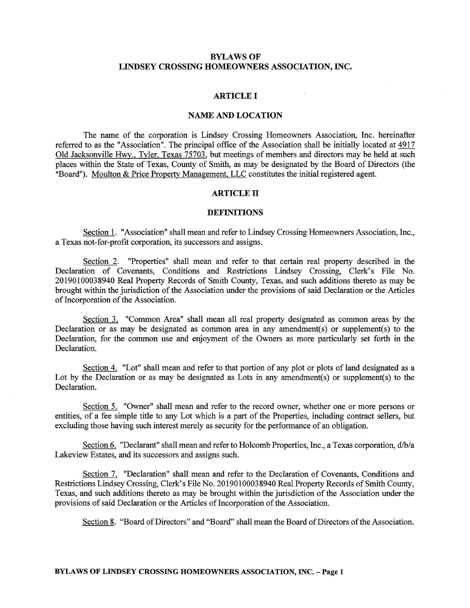# **BYLAWS OF LINDSEY CROSSING HOMEOWNERS ASSOCIATION, INC.**

## **ARTICLE** I

# **NAME AND LOCATION**

The name of the corporation is Lindsey Crossing Homeowners Association, Inc. hereinafter referred to as the "Association". The principal office of the Association shall be initially located at 4917 Old Jacksonville Hwy., Tyler, Texas 75703, but meetings of members and directors may be held at such places within the State of Texas, County of Smith, as may be designated by the Board of Directors (the "Board"). Moulton & Price Property Management, LLC constitutes the initial registered agent.

### **ARTICLE** II

### **DEFINITIONS**

Section 1. "Association" shall mean and refer to Lindsey Crossing Homeowners Association, Inc., a Texas not-for-profit corporation, its successors and assigns.

Section 2. "Properties" shall mean and refer to that certain real property described in the Declaration of Covenants, Conditions and Restrictions Lindsey Crossing, Clerk's File No. 20190100038940 Real Property Records of Smith County, Texas, and such additions thereto as may be brought within the jurisdiction of the Association under the provisions of said Declaration or the Articles of Incorporation of the Association.

Section 3. "Common Area" shall mean all real property designated as common areas by the Declaration or as may be designated as common area in any amendment(s) or supplement(s) to the Declaration, for the common use and enjoyment of the Owners as more particularly set forth in the Declaration.

Section 4. "Lot" shall mean and refer to that portion of any plot or plots of land designated as a Lot by the Declaration or as may be designated as Lots in any amendment(s) or supplement(s) to the Declaration.

Section 5. "Owner" shall mean and refer to the record owner, whether one or more persons or entities, of a fee simple title to any Lot which is a part of the Properties, including contract sellers, but excluding those having such interest merely as security for the performance of an obligation.

Section 6. "Declarant" shall mean and refer to Holcomb Properties, Inc., a Texas corporation, d/b/a Lakeview Estates, and its successors and assigns such.

Section 7. "Declaration" shall mean and refer to the Declaration of Covenants, Conditions and Restrictions Lindsey Crossing, Clerk's File No. 20190100038940 Real Property Records of Smith County, Texas, and such additions thereto as may be brought within the jurisdiction of the Association under the provisions of said Declaration or the Articles of Incorporation of the Association.

Section 8. "Board of Directors" and "Board" shall mean the Board of Directors of the Association.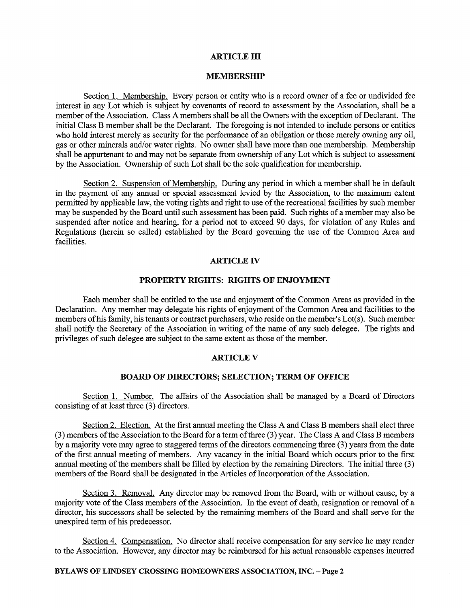### **ARTICLE** ID

# **MEMBERSHIP**

Section 1. Membership. Every person or entity who is a record owner of a fee or undivided fee interest in any Lot which is subject by covenants of record to assessment by the Association, shall be a member of the Association. Class A members shall be all the Owners with the exception of Declarant. The initial Class B member shall be the Declarant. The foregoing is not intended to include persons or entities who hold interest merely as security for the performance of an obligation or those merely owning any oil, gas or other minerals and/or water rights. No owner shall have more than one membership. Membership shall be appurtenant to and may not be separate from ownership of any Lot which is subject to assessment by the Association. Ownership of such Lot shall be the sole qualification for membership.

Section 2. Suspension of Membership. During any period in which a member shall be in default in the payment of any annual or special assessment levied by the Association, to the maximum extent permitted by applicable law, the voting rights and right to use of the recreational facilities by such member may be suspended by the Board until such assessment has been paid. Such rights of a member may also be suspended after notice and hearing, for a period not to exceed 90 days, for violation of any Rules and Regulations (herein so called) established by the Board governing the use of the Common Area and facilities.

### **ARTICLE** IV

# **PROPERTY RIGHTS: RIGHTS OF ENJOYMENT**

Each member shall be entitled to the use and enjoyment of the Common Areas as provided in the Declaration. Any member may delegate his rights of enjoyment of the Common Area and facilities to the members of his family, his tenants or contract purchasers, who reside on the member's Lot(s). Such member shall notify the Secretary of the Association in writing of the name of any such delegee. The rights and privileges of such delegee are subject to the same extent as those of the member.

### **ARTICLEV**

### **BOARD OF DIRECTORS; SELECTION; TERM OF OFFICE**

Section 1. Number. The affairs of the Association shall be managed by a Board of Directors consisting of at least three (3) directors.

Section 2. Election. At the first annual meeting the Class A and Class B members shall elect three (3) members of the Association to the Board for a term of three (3) year. The Class A and Class B members by a majority vote may agree to staggered terms of the directors commencing three (3) years from the date of the first annual meeting of members. Any vacancy in the initial Board which occurs prior to the first annual meeting of the members shall be filled by election by the remaining Directors. The initial three (3) members of the Board shall be designated in the Articles of Incorporation of the Association.

Section 3. Removal. Any director may be removed from the Board, with or without cause, by a majority vote of the Class members of the Association. In the event of death, resignation or removal of a director, his successors shall be selected by the remaining members of the Board and shall serve for the unexpired term of his predecessor.

Section 4. Compensation. No director shall receive compensation for any service he may render to the Association. However, any director may be reimbursed for his actual reasonable expenses incurred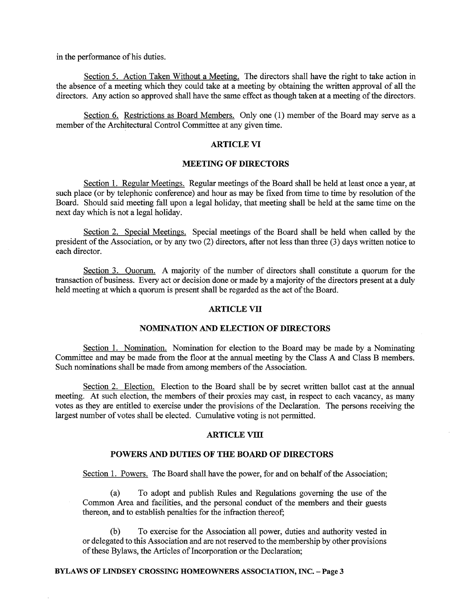in the performance of his duties.

Section 5. Action Taken Without a Meeting. The directors shall have the right to take action in the absence of a meeting which they could take at a meeting by obtaining the written approval of all the directors. Any action so approved shall have the same effect as though taken at a meeting of the directors.

Section 6. Restrictions as Board Members. Only one (1) member of the Board may serve as a member of the Architectural Control Committee at any given time.

## **ARTICLE VI**

### **MEETING OF DIRECTORS**

Section 1. Regular Meetings. Regular meetings of the Board shall be held at least once a year, at such place (or by telephonic conference) and hour as may be fixed from time to time by resolution of the Board. Should said meeting fall upon a legal holiday, that meeting shall be held at the same time on the next day which is not a legal holiday.

Section 2. Special Meetings. Special meetings of the Board shall be held when called by the president of the Association, or by any two (2) directors, after not less than three (3) days written notice to each director.

Section 3. Quorum. A majority of the number of directors shall constitute a quorum for the transaction of business. Every act or decision done or made by a majority of the directors present at a duly held meeting at which a quorum is present shall be regarded as the act of the Board.

# **ARTICLE VII**

# **NOMINATION AND ELECTION OF DIRECTORS**

Section 1. Nomination. Nomination for election to the Board may be made by a Nominating Committee and may be made from the floor at the annual meeting by the Class A and Class B members. Such nominations shall be made from among members of the Association.

Section 2. Election. Election to the Board shall be by secret written ballot cast at the annual meeting. At such election, the members of their proxies may cast, in respect to each vacancy, as many votes as they are entitled to exercise under the provisions of the Declaration. The persons receiving the largest number of votes shall be elected. Cumulative voting is not permitted.

# **ARTICLE VIII**

# **POWERS AND DUTIES OF THE BOARD OF DIRECTORS**

Section 1. Powers. The Board shall have the power, for and on behalf of the Association;

(a) To adopt and publish Rules and Regulations governing the use of the Common Area and facilities, and the personal conduct of the members and their guests thereon, and to establish penalties for the infraction thereof;

To exercise for the Association all power, duties and authority vested in or delegated to this Association and are not reserved to the membership by other provisions of these Bylaws, the Articles of Incorporation or the Declaration;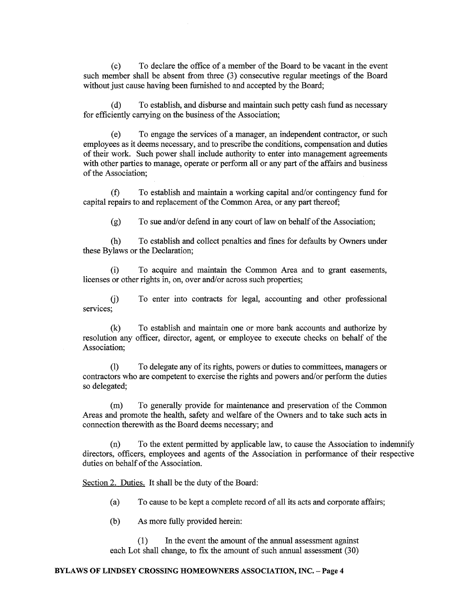( c) To declare the office of a member of the Board to be vacant in the event such member shall be absent from three (3) consecutive regular meetings of the Board without just cause having been furnished to and accepted by the Board;

( d) To establish, and disburse and maintain such petty cash fund as necessary for efficiently carrying on the business of the Association;

( e) To engage the services of a manager, an independent contractor, or such employees as it deems necessary, and to prescribe the conditions, compensation and duties of their work. Such power shall include authority to enter into management agreements with other parties to manage, operate or perform all or any part of the affairs and business of the Association;

(f) To establish and maintain a working capital and/or contingency fund for capital repairs to and replacement of the Common Area, or any part thereof;

 $(g)$  To sue and/or defend in any court of law on behalf of the Association;

(h) To establish and collect penalties and fines for defaults by Owners under these Bylaws or the Declaration;

(i) To acquire and maintain the Common Area and to grant easements, licenses or other rights in, on, over and/or across such properties;

G) To enter into contracts for legal, accounting and other professional services;

(k) To establish and maintain one or more bank accounts and authorize by resolution any officer, director, agent, or employee to execute checks on behalf of the Association;

(I) To delegate any of its rights, powers or duties to committees, managers or contractors who are competent to exercise the rights and powers and/or perform the duties so delegated;

(m) To generally provide for maintenance and preservation of the Common Areas and promote the health, safety and welfare of the Owners and to take such acts in connection therewith as the Board deems necessary; and

(n) To the extent permitted by applicable law, to cause the Association to indemnify directors, officers, employees and agents of the Association in performance of their respective duties on behalf of the Association.

Section 2. Duties. It shall be the duty of the Board:

(a) To cause to be kept a complete record of all its acts and corporate affairs;

(b) As more fully provided herein:

(1) In the event the amount of the annual assessment against each Lot shall change, to fix the amount of such annual assessment (30)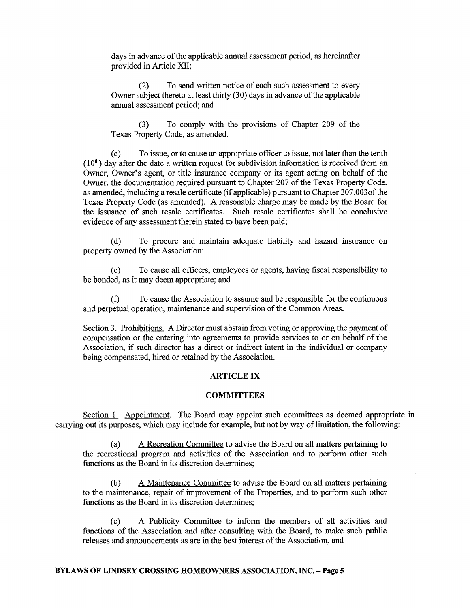days in advance of the applicable annual assessment period, as hereinafter provided in Article XII;

(2) To send written notice of each such assessment to every Owner subject thereto at least thirty (30) days in advance of the applicable annual assessment period; and

(3) To comply with the provisions of Chapter 209 of the Texas Property Code, as amended.

( c) To issue, or to cause an appropriate officer to issue, not later than the tenth  $(10<sup>th</sup>)$  day after the date a written request for subdivision information is received from an Owner, Owner's agent, or title insurance company or its agent acting on behalf of the Owner, the documentation required pursuant to Chapter 207 of the Texas Property Code, as amended, including a resale certificate (if applicable) pursuant to Chapter 207 .003of the Texas Property Code (as amended). A reasonable charge may be made by the Board for the issuance of such resale certificates. Such resale certificates shall be conclusive evidence of any assessment therein stated to have been paid;

( d) To procure and maintain adequate liability and hazard insurance on property owned by the Association:

(e) To cause all officers, employees or agents, having fiscal responsibility to be bonded, as it may deem appropriate; and

(f) To cause the Association to assume and be responsible for the continuous and perpetual operation, maintenance and supervision of the Common Areas.

Section 3. Prohibitions. A Director must abstain from voting or approving the payment of compensation or the entering into agreements to provide services to or on behalf of the Association, if such director has a direct or indirect intent in the individual or company being compensated, hired or retained by the Association.

### **ARTICLE** IX

#### **COMMITTEES**

Section 1. Appointment. The Board may appoint such committees as deemed appropriate in carrying out its purposes, which may include for example, but not by way of limitation, the following:

(a) A Recreation Committee to advise the Board on all matters pertaining to the recreational program and activities of the Association and to perform other such functions as the Board in its discretion determines;

(b) A Maintenance Committee to advise the Board on all matters pertaining to the maintenance, repair of improvement of the Properties, and to perform such other functions as the Board in its discretion determines;

( c) A Publicity Committee to inform the members of all activities and functions of the Association and after consulting with the Board, to make such public releases and announcements as are in the best interest of the Association, and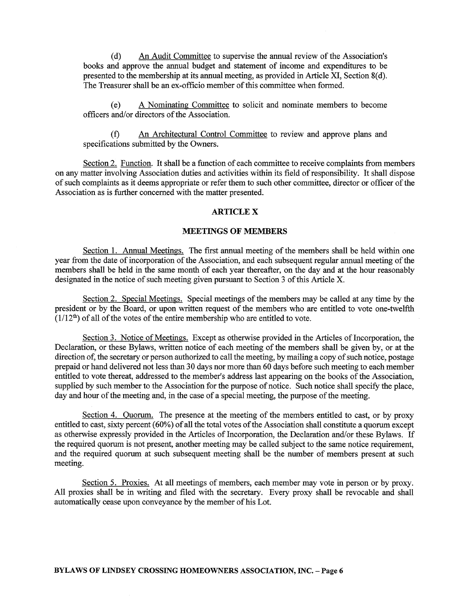( d) An Audit Committee to supervise the annual review of the Association's books and approve the annual budget and statement of income and expenditures to be presented to the membership at its annual meeting, as provided in Article XI, Section 8(d). The Treasurer shall be an ex-officio member of this committee when formed.

(e) A Nominating Committee to solicit and nominate members to become officers and/or directors of the Association.

(f) An Architectural Control Committee to review and approve plans and specifications submitted by the Owners.

Section 2. Function. It shall be a function of each committee to receive complaints from members on any matter involving Association duties and activities within its field of responsibility. It shall dispose of such complaints as it deems appropriate or refer them to such other committee, director or officer of the Association as is further concerned with the matter presented.

# **ARTICLEX**

#### **MEETINGS OF MEMBERS**

Section 1. Annual Meetings. The first annual meeting of the members shall be held within one year from the date of incorporation of the Association, and each subsequent regular annual meeting of the members shall be held in the same month of each year thereafter, on the day and at the hour reasonably designated in the notice of such meeting given pursuant to Section 3 of this Article X.

Section 2. Special Meetings. Special meetings of the members may be called at any time by the president or by the Board, or upon written request of the members who are entitled to vote one-twelfth  $(1/12<sup>th</sup>)$  of all of the votes of the entire membership who are entitled to vote.

Section 3. Notice of Meetings. Except as otherwise provided in the Articles of Incorporation, the Declaration, or these Bylaws, written notice of each meeting of the members shall be given by, or at the direction of, the secretary or person authorized to call the meeting, by mailing a copy of such notice, postage prepaid or hand delivered not less than 30 days nor more than 60 days before such meeting to each member entitled to vote thereat, addressed to the member's address last appearing on the books of the Association, supplied by such member to the Association for the purpose of notice. Such notice shall specify the place, day and hour of the meeting and, in the case of a special meeting, the purpose of the meeting.

Section 4. Quorum. The presence at the meeting of the members entitled to cast, or by proxy entitled to cast, sixty percent (60%) of all the total votes of the Association shall constitute a quorum except as otherwise expressly provided in the Articles of Incorporation, the Declaration and/or these Bylaws. If the required quorum is not present, another meeting may be called subject to the same notice requirement, and the required quorum at such subsequent meeting shall be the number of members present at such meeting.

Section 5. Proxies. At all meetings of members, each member may vote in person or by proxy. All proxies shall be in writing and filed with the secretary. Every proxy shall be revocable and shall automatically cease upon conveyance by the member of his Lot.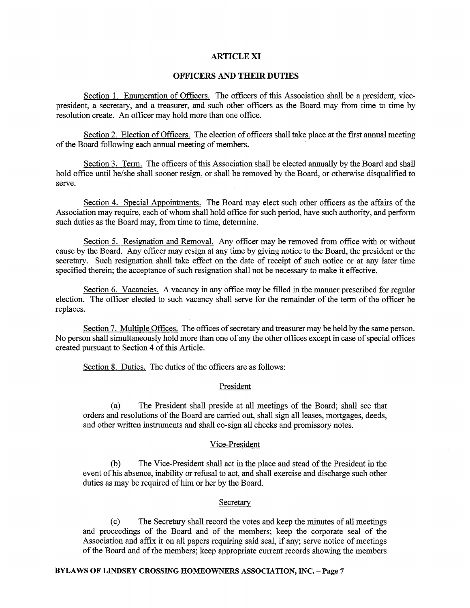## **ARTICLE XI**

# **OFFICERS AND THEIR DUTIES**

Section 1. Enumeration of Officers. The officers of this Association shall be a president, vicepresident, a secretary, and a treasurer, and such other officers as the Board may from time to time by resolution create. An officer may hold more than one office.

Section 2. Election of Officers. The election of officers shall take place at the first annual meeting of the Board following each annual meeting of members.

Section 3. Term. The officers of this Association shall be elected annually by the Board and shall hold office until he/she shall sooner resign, or shall be removed by the Board, or otherwise disqualified to serve.

Section 4. Special Appointments. The Board may elect such other officers as the affairs of the Association may require, each of whom shall hold office for such period, have such authority, and perform such duties as the Board may, from time to time, determine.

Section 5. Resignation and Removal. Any officer may be removed from office with or without cause by the Board. Any officer may resign at any time by giving notice to the Board, the president or the secretary. Such resignation shall take effect on the date of receipt of such notice or at any later time specified therein; the acceptance of such resignation shall not be necessary to make it effective.

Section 6. Vacancies. A vacancy in any office may be filled in the manner prescribed for regular election. The officer elected to such vacancy shall serve for the remainder of the term of the officer he replaces.

Section 7. Multiple Offices. The offices of secretary and treasurer may be held by the same person. No person shall simultaneously hold more than one of any the other offices except in case of special offices created pursuant to Section 4 of this Article.

Section 8. Duties. The duties of the officers are as follows:

# President

(a) The President shall preside at all meetings of the Board; shall see that orders and resolutions of the Board are carried out, shall sign all leases, mortgages, deeds, and other written instruments and shall co-sign all checks and promissory notes.

### Vice-President

(b) The Vice-President shall act in the place and stead of the President in the event of his absence, inability or refusal to act, and shall exercise and discharge such other duties as may be required of him or her by the Board.

### **Secretary**

( c) The Secretary shall record the votes and keep the minutes of all meetings and proceedings of the Board and of the members; keep the corporate seal of the Association and affix it on all papers requiring said seal, if any; serve notice of meetings of the Board and of the members; keep appropriate current records showing the members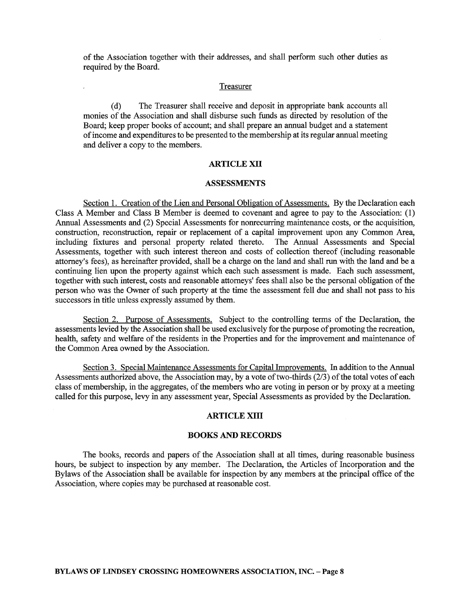of the Association together with their addresses, and shall perform such other duties as required by the Board.

# Treasurer

( d) The Treasurer shall receive and deposit in appropriate bank accounts all monies of the Association and shall disburse such funds as directed by resolution of the Board; keep proper books of account; and shall prepare an annual budget and a statement of income and expenditures to be presented to the membership at its regular annual meeting and deliver a copy to the members.

## **ARTICLE XII**

## **ASSESSMENTS**

Section 1. Creation of the Lien and Personal Obligation of Assessments. By the Declaration each Class A Member and Class B Member is deemed to covenant and agree to pay to the Association: (1) Annual Assessments and (2) Special Assessments for nonrecurring maintenance costs, or the acquisition, construction, reconstruction, repair or replacement of a capital improvement upon any Common Area, including fixtures and personal property related thereto. The Annual Assessments and Special Assessments, together with such interest thereon and costs of collection thereof (including reasonable attorney's fees), as hereinafter provided, shall be a charge on the land and shall run with the land and be a continuing lien upon the property against which each such assessment is made. Each such assessment, together with such interest, costs and reasonable attorneys' fees shall also be the personal obligation of the person who was the Owner of such property at the time the assessment fell due and shall not pass to his successors in title unless expressly assumed by them.

Section 2. Purpose of Assessments. Subject to the controlling terms of the Declaration, the assessments levied by the Association shall be used exclusively for the purpose of promoting the recreation, health, safety and welfare of the residents in the Properties and for the improvement and maintenance of the Common Area owned by the Association.

Section 3. Special Maintenance Assessments for Capital Improvements. In addition to the Annual Assessments authorized above, the Association may, by a vote of two-thirds (2/3) of the total votes of each class of membership, in the aggregates, of the members who are voting in person or by proxy at a meeting called for this purpose, levy in any assessment year, Special Assessments as provided by the Declaration.

### **ARTICLE XIII**

# **BOOKS AND RECORDS**

The books, records and papers of the Association shall at all times, during reasonable business hours, be subject to inspection by any member. The Declaration, the Articles of Incorporation and the Bylaws of the Association shall be available for inspection by any members at the principal office of the Association, where copies may be purchased at reasonable cost.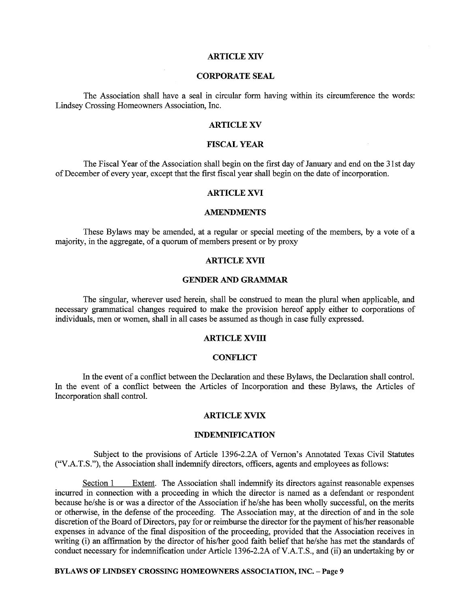# **ARTICLE XIV**

# **CORPORATE SEAL**

The Association shall have a seal in circular form having within its circumference the words: Lindsey Crossing Homeowners Association, Inc.

# **ARTICLE XV**

## **FISCAL YEAR**

The Fiscal Year of the Association shall begin on the first day of January and end on the 31st day of December of every year, except that the first fiscal year shall begin on the date of incorporation.

# **ARTICLE XVI**

### **AMENDMENTS**

These Bylaws may be amended, at a regular or special meeting of the members, by a vote of a majority, in the aggregate, of a quorum of members present or by proxy

### **ARTICLE XVII**

### **GENDER AND GRAMMAR**

The singular, wherever used herein, shall be construed to mean the plural when applicable, and necessary grammatical changes required to make the provision hereof apply either to corporations of individuals, men or women, shall in all cases be assumed as though in case fully expressed.

# **ARTICLE XVIII**

### **CONFLICT**

In the event of a conflict between the Declaration and these Bylaws, the Declaration shall control. In the event of a conflict between the Articles of Incorporation and these Bylaws, the Articles of Incorporation shall control.

### **ARTICLE XVIX**

#### **INDEMNIFICATION**

Subject to the provisions of Article 1396-2.2A of Vernon's Annotated Texas Civil Statutes ("V.A.T.S."), the Association shall indemnify directors, officers, agents and employees as follows:

Section 1 Extent. The Association shall indemnify its directors against reasonable expenses incurred in connection with a proceeding in which the director is named as a defendant or respondent because he/she is or was a director of the Association if he/she has been wholly successful, on the merits or otherwise, in the defense of the proceeding. The Association may, at the direction of and in the sole discretion of the Board of Directors, pay for or reimburse the director for the payment of his/her reasonable expenses in advance of the final disposition of the proceeding, provided that the Association receives in writing (i) an affirmation by the director of his/her good faith belief that he/she has met the standards of conduct necessary for indemnification under Article 1396-2.2A ofV.A.T.S., and (ii) an undertaking by or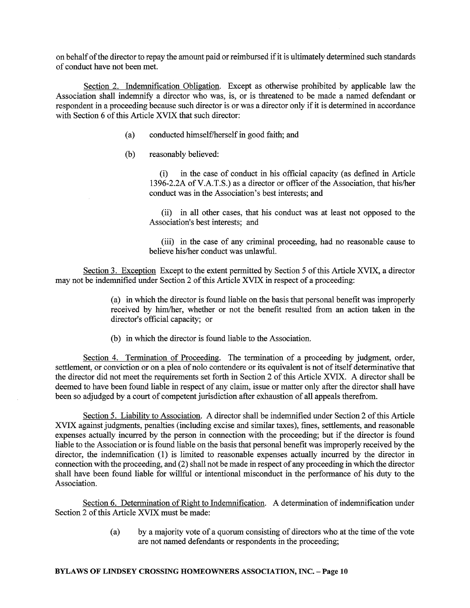on behalf of the director to repay the amount paid or reimbursed if it is ultimately determined such standards of conduct have not been met.

Section 2. Indemnification Obligation. Except as otherwise prohibited by applicable law the Association shall indemnify a director who was, is, or is threatened to be made a named defendant or respondent in a proceeding because such director is or was a director only if it is determined in accordance with Section 6 of this Article XVIX that such director:

- (a) conducted himself/herself in good faith; and
- (b) reasonably believed:

(i) in the case of conduct in his official capacity (as defined in Article 1396-2.2A of V.A.T.S.) as a director or officer of the Association, that his/her conduct was in the Association's best interests; and

(ii) in all other cases, that his conduct was at least not opposed to the Association's best interests; and

(iii) in the case of any criminal proceeding, had no reasonable cause to believe his/her conduct was unlawful.

Section 3. Exception Except to the extent permitted by Section 5 of this Article XVIX, a director may not be indemnified under Section 2 of this Article XVIX in respect of a proceeding:

> (a) in which the director is found liable on the basis that personal benefit was improperly received by him/her, whether or not the benefit resulted from an action taken in the director's official capacity; or

(b) in which the director is found liable to the Association.

Section 4. Termination of Proceeding. The termination of a proceeding by judgment, order, settlement, or conviction or on a plea of nolo contendere or its equivalent is not of itself determinative that the director did not meet the requirements set forth in Section 2 of this Article XVIX. A director shall be deemed to have been found liable in respect of any claim, issue or matter only after the director shall have been so adjudged by a court of competent jurisdiction after exhaustion of all appeals therefrom.

Section 5. Liability to Association. A director shall be indemnified under Section 2 of this Article XVIX against judgments, penalties (including excise and similar taxes), fines, settlements, and reasonable expenses actually incurred by the person in connection with the proceeding; but if the director is found liable to the Association or is found liable on the basis that personal benefit was improperly received by the director, the indemnification (1) is limited to reasonable expenses actually incurred by the director in connection with the proceeding, and (2) shall not be made in respect of any proceeding in which the director shall have been found liable for willful or intentional misconduct in the performance of his duty to the Association.

Section 6. Determination of Right to Indemnification. A determination of indemnification under Section 2 of this Article XVIX must be made:

> (a) by a majority vote of a quorum consisting of directors who at the time of the vote are not named defendants or respondents in the proceeding;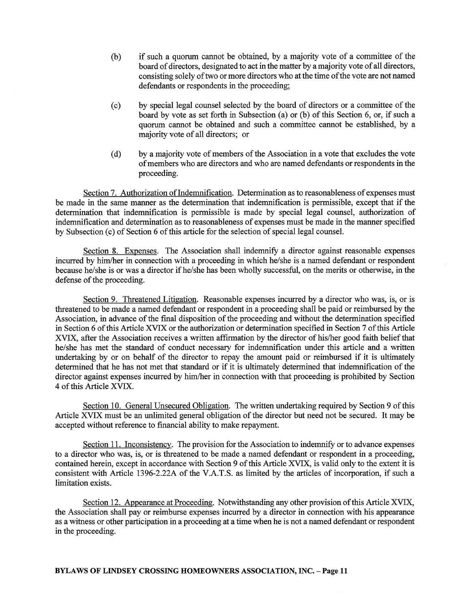- (b) if such a quorum cannot be obtained, by a majority vote of a committee of the board of directors, designated to act in the matter by a majority vote of all directors, consisting solely of two or more directors who at the time of the vote are not named defendants or respondents in the proceeding;
- ( c) by special legal counsel selected by the board of directors or a committee of the board by vote as set forth in Subsection (a) or (b) of this Section 6, or, if such a quorum cannot be obtained and such a committee cannot be established, by a majority vote of all directors; or
- ( d) by a majority vote of members of the Association in a vote that excludes the vote of members who are directors and who are named defendants or respondents in the proceeding.

Section 7. Authorization of Indemnification. Determination as to reasonableness of expenses must be made in the same manner as the determination that indemnification is permissible, except that if the determination that indemnification is permissible is made by special legal counsel, authorization of indemnification and determination as to reasonableness of expenses must be made in the manner specified by Subsection (c) of Section 6 of this article for the selection of special legal counsel.

Section 8. Expenses. The Association shall indemnify a director against reasonable expenses incurred by him/her in connection with a proceeding in which he/she is a named defendant or respondent because he/she is or was a director if he/she has been wholly successful, on the merits or otherwise, in the defense of the proceeding.

Section 9. Threatened Litigation. Reasonable expenses incurred by a director who was, is, or is threatened to be made a named defendant or respondent in a proceeding shall be paid or reimbursed by the Association, in advance of the final disposition of the proceeding and without the determination specified in Section 6 of this Article XVIX or the authorization or determination specified in Section 7 of this Article XVIX, after the Association receives a written affirmation by the director of his/her good faith belief that he/she has met the standard of conduct necessary for indemnification under this article and a written undertaking by or on behalf of the director to repay the amount paid or reimbursed if it is ultimately determined that he has not met that standard or if it is ultimately determined that indemnification of the director against expenses incurred by him/her in connection with that proceeding is prohibited by Section 4 of this Article XVIX.

Section 10. General Unsecured Obligation. The written undertaking required by Section 9 of this Article XVIX must be an unlimited general obligation of the director but need not be secured. It may be accepted without reference to financial ability to make repayment.

Section 11. Inconsistency. The provision for the Association to indemnify or to advance expenses to a director who was, is, or is threatened to be made a named defendant or respondent in a proceeding, contained herein, except in accordance with Section 9 of this Article XVIX, is valid only to the extent it is consistent with Article 1396-2.22A of the V.A.T.S. as limited by the articles of incorporation, if such a limitation exists.

Section 12. Appearance at Proceeding. Notwithstanding any other provision of this Article XVIX, the Association shall pay or reimburse expenses incurred by a director in connection with his appearance as a witness or other participation in a proceeding at a time when he is not a named defendant or respondent in the proceeding.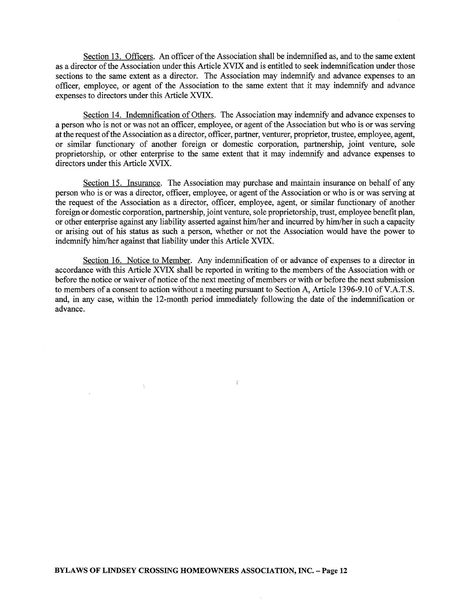Section 13. Officers. An officer of the Association shall be indemnified as, and to the same extent as a director of the Association under this Article XVIX and is entitled to seek indemnification under those sections to the same extent as a director. The Association may indemnify and advance expenses to an officer, employee, or agent of the Association to the same extent that it may indemnify and advance expenses to directors under this Article XVIX.

Section 14. Indemnification of Others. The Association may indemnify and advance expenses to a person who is not or was not an officer, employee, or agent of the Association but who is or was serving at the request of the Association as a director, officer, partner, venturer, proprietor, trustee, employee, agent, or similar functionary of another foreign or domestic corporation, partnership, joint venture, sole proprietorship, or other enterprise to the same extent that it may indemnify and advance expenses to directors under this Article XVIX.

Section 15. Insurance. The Association may purchase and maintain insurance on behalf of any person who is or was a director, officer, employee, or agent of the Association or who is or was serving at the request of the Association as a director, officer, employee, agent, or similar functionary of another foreign or domestic corporation, partnership, joint venture, sole proprietorship, trust, employee benefit plan, or other enterprise against any liability asserted against him/her and incurred by him/her in such a capacity or arising out of his status as such a person, whether or not the Association would have the power to indemnify him/her against that liability under this Article XVIX.

Section 16. Notice to Member. Any indemnification of or advance of expenses to a director in accordance with this Article XVIX shall be reported in writing to the members of the Association with or before the notice or waiver of notice of the next meeting of members or with or before the next submission to members of a consent to action without a meeting pursuant to Section A, Article 1396-9.10 of V.A.T.S. and, in any case, within the 12-month period immediately following the date of the indemnification or advance.

 $\pm$ 

 $\bar{\tau}$